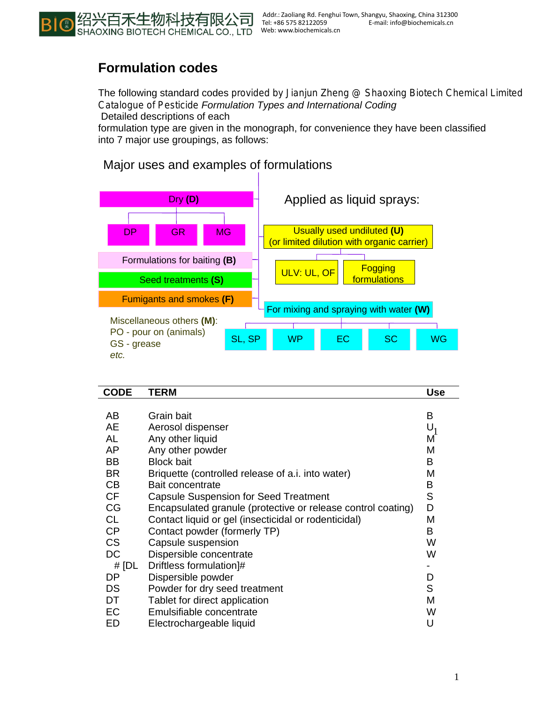

## **Formulation codes**

The following standard codes provided by Jianjun Zheng @ Shaoxing Biotech Chemical Limited *Catalogue of Pesticide Formulation Types and International Coding*  Detailed descriptions of each

formulation type are given in the monograph, for convenience they have been classified into 7 major use groupings, as follows:

## Major uses and examples of formulations



| <b>CODE</b> | <b>TERM</b>                                                  | <b>Use</b> |
|-------------|--------------------------------------------------------------|------------|
|             |                                                              |            |
| AB          | Grain bait                                                   | B          |
| AE          | Aerosol dispenser                                            | $U_1$      |
| AL          | Any other liquid                                             | М          |
| AP          | Any other powder                                             | М          |
| BB          | <b>Block bait</b>                                            | B          |
| <b>BR</b>   | Briquette (controlled release of a.i. into water)            | М          |
| CB          | Bait concentrate                                             | B          |
| CF          | <b>Capsule Suspension for Seed Treatment</b>                 | S          |
| CG          | Encapsulated granule (protective or release control coating) | D          |
| <b>CL</b>   | Contact liquid or gel (insecticidal or rodenticidal)         | M          |
| CP          | Contact powder (formerly TP)                                 | B          |
| <b>CS</b>   | Capsule suspension                                           | W          |
| DC          | Dispersible concentrate                                      | W          |
| # [DL       | Driftless formulation]#                                      |            |
| DP          | Dispersible powder                                           | D          |
| <b>DS</b>   | Powder for dry seed treatment                                | S          |
| DT          | Tablet for direct application                                | M          |
| EC          | Emulsifiable concentrate                                     | W          |
| ED          | Electrochargeable liquid                                     | U          |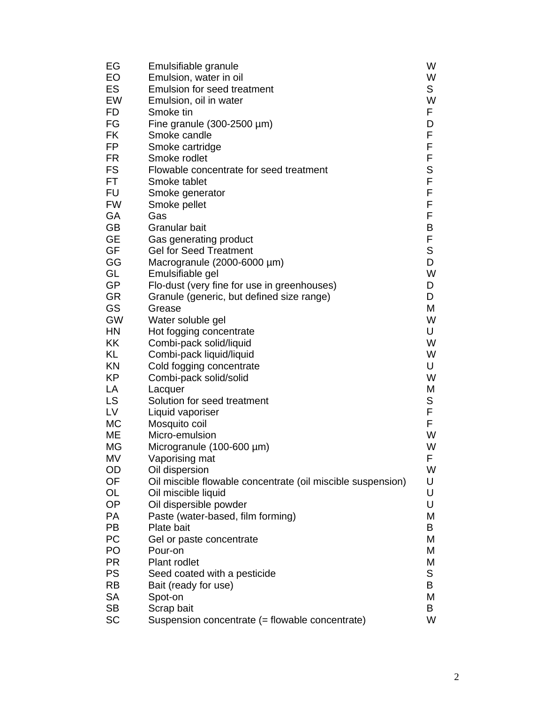| EG        | Emulsifiable granule                                        | W      |
|-----------|-------------------------------------------------------------|--------|
| <b>EO</b> | Emulsion, water in oil                                      | W      |
| ES        | <b>Emulsion for seed treatment</b>                          | S      |
| EW        | Emulsion, oil in water                                      | W      |
| <b>FD</b> | Smoke tin                                                   | F      |
| FG        | Fine granule $(300-2500 \mu m)$                             | D      |
| <b>FK</b> | Smoke candle                                                | F      |
| FP        | Smoke cartridge                                             | F      |
| <b>FR</b> | Smoke rodlet                                                | F      |
| <b>FS</b> | Flowable concentrate for seed treatment                     | S      |
| FT        | Smoke tablet                                                | F      |
| <b>FU</b> | Smoke generator                                             | F      |
| <b>FW</b> | Smoke pellet                                                | F      |
| GA        | Gas                                                         | F      |
| <b>GB</b> | Granular bait                                               | B      |
| <b>GE</b> | Gas generating product                                      | F      |
| GF        | <b>Gel for Seed Treatment</b>                               | S      |
| GG        | Macrogranule (2000-6000 µm)                                 | D      |
| GL        | Emulsifiable gel                                            | W      |
| <b>GP</b> | Flo-dust (very fine for use in greenhouses)                 | D      |
| <b>GR</b> | Granule (generic, but defined size range)                   | D      |
| GS        | Grease                                                      | М      |
| GW        | Water soluble gel                                           | W      |
| HN        | Hot fogging concentrate                                     | U      |
| KK        | Combi-pack solid/liquid                                     | W      |
| KL        | Combi-pack liquid/liquid                                    | W      |
| KN        | Cold fogging concentrate                                    | U      |
| <b>KP</b> | Combi-pack solid/solid                                      | W      |
| LA<br>LS  | Lacquer<br>Solution for seed treatment                      | M<br>S |
| LV        |                                                             | F      |
| <b>MC</b> | Liquid vaporiser<br>Mosquito coil                           | F      |
| ME        | Micro-emulsion                                              | W      |
| <b>MG</b> | Microgranule (100-600 µm)                                   | W      |
| MV        | Vaporising mat                                              | F      |
| OD        | Oil dispersion                                              | W      |
| OF        | Oil miscible flowable concentrate (oil miscible suspension) | U      |
| OL        | Oil miscible liquid                                         | U      |
| OP        | Oil dispersible powder                                      | U      |
| <b>PA</b> | Paste (water-based, film forming)                           | М      |
| PB        | Plate bait                                                  | В      |
| PC        | Gel or paste concentrate                                    | M      |
| PO        | Pour-on                                                     | M      |
| <b>PR</b> | Plant rodlet                                                | М      |
| <b>PS</b> | Seed coated with a pesticide                                | S      |
| <b>RB</b> | Bait (ready for use)                                        | B      |
| <b>SA</b> | Spot-on                                                     | M      |
| <b>SB</b> | Scrap bait                                                  | В      |
| <b>SC</b> | Suspension concentrate (= flowable concentrate)             | W      |